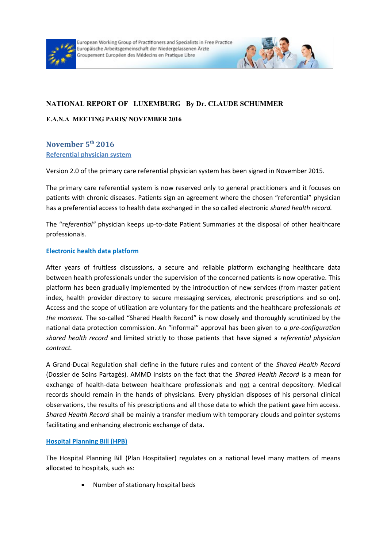



# **NATIONAL REPORT OF LUXEMBURG By Dr. CLAUDE SCHUMMER**

#### **E.A.N.A MEETING PARIS/ NOVEMBER 2016**

# **November 5th 2016 Referential physician system**

Version 2.0 of the primary care referential physician system has been signed in November 2015.

The primary care referential system is now reserved only to general practitioners and it focuses on patients with chronic diseases. Patients sign an agreement where the chosen "referential" physician has a preferential access to health data exchanged in the so called electronic *shared health record.*

The "re*ferential"* physician keeps up-to-date Patient Summaries at the disposal of other healthcare professionals.

### **Electronic health data platform**

After years of fruitless discussions, a secure and reliable platform exchanging healthcare data between health professionals under the supervision of the concerned patients is now operative. This platform has been gradually implemented by the introduction of new services (from master patient index, health provider directory to secure messaging services, electronic prescriptions and so on). Access and the scope of utilization are voluntary for the patients and the healthcare professionals *at the moment.* The so-called "Shared Health Record" is now closely and thoroughly scrutinized by the national data protection commission. An "informal" approval has been given to *a pre-configuration shared health record* and limited strictly to those patients that have signed a *referential physician contract.* 

A Grand-Ducal Regulation shall define in the future rules and content of the *Shared Health Record* (Dossier de Soins Partagés). AMMD insists on the fact that the *Shared Health Record* is a mean for exchange of health-data between healthcare professionals and not a central depository. Medical records should remain in the hands of physicians. Every physician disposes of his personal clinical observations, the results of his prescriptions and all those data to which the patient gave him access. *Shared Health Record* shall be mainly a transfer medium with temporary clouds and pointer systems facilitating and enhancing electronic exchange of data.

## **Hospital Planning Bill (HPB)**

The Hospital Planning Bill (Plan Hospitalier) regulates on a national level many matters of means allocated to hospitals, such as:

Number of stationary hospital beds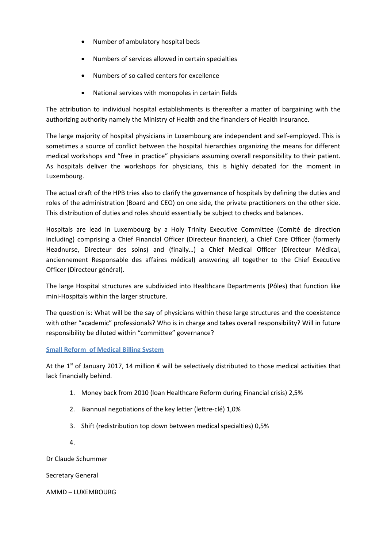- Number of ambulatory hospital beds
- Numbers of services allowed in certain specialties
- Numbers of so called centers for excellence
- National services with monopoles in certain fields

The attribution to individual hospital establishments is thereafter a matter of bargaining with the authorizing authority namely the Ministry of Health and the financiers of Health Insurance.

The large majority of hospital physicians in Luxembourg are independent and self-employed. This is sometimes a source of conflict between the hospital hierarchies organizing the means for different medical workshops and "free in practice" physicians assuming overall responsibility to their patient. As hospitals deliver the workshops for physicians, this is highly debated for the moment in Luxembourg.

The actual draft of the HPB tries also to clarify the governance of hospitals by defining the duties and roles of the administration (Board and CEO) on one side, the private practitioners on the other side. This distribution of duties and roles should essentially be subject to checks and balances.

Hospitals are lead in Luxembourg by a Holy Trinity Executive Committee (Comité de direction including) comprising a Chief Financial Officer (Directeur financier), a Chief Care Officer (formerly Headnurse, Directeur des soins) and (finally…) a Chief Medical Officer (Directeur Médical, anciennement Responsable des affaires médical) answering all together to the Chief Executive Officer (Directeur général).

The large Hospital structures are subdivided into Healthcare Departments (Pôles) that function like mini-Hospitals within the larger structure.

The question is: What will be the say of physicians within these large structures and the coexistence with other "academic" professionals? Who is in charge and takes overall responsibility? Will in future responsibility be diluted within "committee" governance?

## **Small Reform of Medical Billing System**

At the 1<sup>st</sup> of January 2017, 14 million  $\epsilon$  will be selectively distributed to those medical activities that lack financially behind.

- 1. Money back from 2010 (loan Healthcare Reform during Financial crisis) 2,5%
- 2. Biannual negotiations of the key letter (lettre-clé) 1,0%
- 3. Shift (redistribution top down between medical specialties) 0,5%
- 4.

Dr Claude Schummer

Secretary General

AMMD – LUXEMBOURG